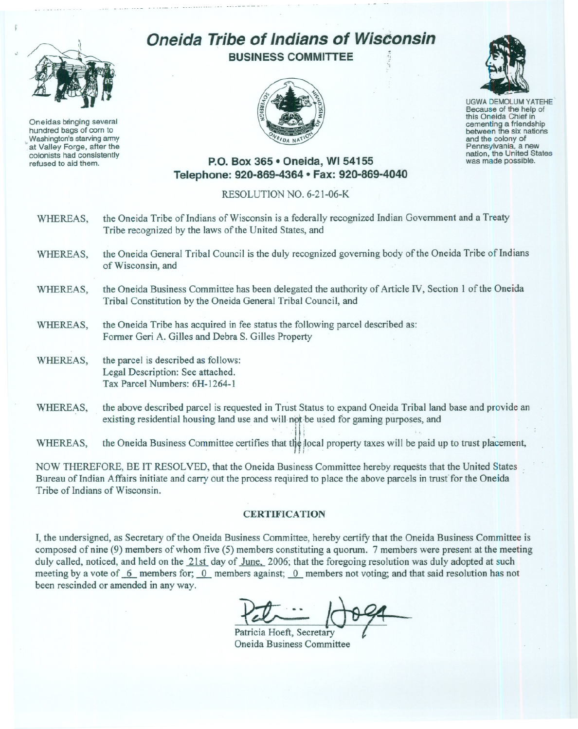

"

Oneidas bringing several hundred bags of corn to \_Washington's starving army at Valley Forge, after the colonists had consistently refused to aid them.

## **Oneida Tribe of Indians of WisConsin**

**BUSINESS COMMITTEE**





**UGWA DEMOLUM YATEHE** Because of the help of this Oneida Chief in<br>cementing a friendship between the six nations and the colony of<br>Pennsylvania, a new nation, the United States was made possible.

## **P.O. Box 365· Oneida, WI 54155 Telephone: 920-869-4364 • Fax: 920-869-4040**

## RESOLUTION NO. 6-21-06-K

- WHEREAS, the Oneida Tribe of Indians of Wisconsin is a federally recognized Indian Government and a Treaty Tribe recognized by the laws of the United States, and
- WHEREAS, the Oneida General Tribal Council is the duly recognized governing body of the Oneida Tribe of Indians of Wisconsin, and
- WHEREAS, the Oneida Business Committee has been delegated the authority of Article IV, Section 1 of the Oneida Tribal Constitution by the Oneida General Tribal Council, and
- WHEREAS, the Oneida Tribe has acquired in fee status the following parcel described as: Former Geri A. Gilles and Debra S. Gilles Property
- WHEREAS, the parcel is described as follows: Legal Description: See attached. Tax Parcel Numbers: 6H-1264-1
- WHEREAS, the above described parcel is requested in Trust Status to expand Oneida Tribal land base and provide an existing residential housing land use and will not be used for gaming purposes, and

WHEREAS, the Opeide Business Committee certifies that the local property toyer will be paid up to twat pleasment  $\mathbf{H}$  is the Oneida Business Committee .ce  $\mathbf{H}$  is that the paid  $\mathbf{H}$ 

NOW THEREFORE, BE IT RESOLVED, that the Oneida Business Committee hereby requests that the United States Bureau of Indian Affairs initiate and carry out the process required to place the above parcels in trusf for the Oneida Tribe of Indians of Wisconsin.

## **CERTIFICATION**

I, the undersigned, as Secretary of the Oneida Business Committee, hereby certify that the Oneida Business Committee is composed of nine (9) members of whom five (5) members constituting a quorum. 7 members were present at the meeting duly called, noticed, and held on the 21st day of June, 2006; that the foregoing resolution was duly adopted at such meeting by a vote of 6 members for; 0 members against; 0 members not voting; and that said resolution has not been rescinded or amended in any way.

Patricia Hoeft, Secretary  $\bigoplus_{\substack{ry\text{}}}\theta$ 

Oneida Business Committee